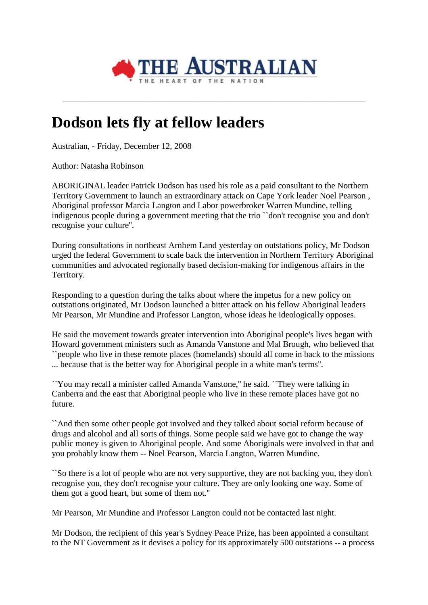

**\_\_\_\_\_\_\_\_\_\_\_\_\_\_\_\_\_\_\_\_\_\_\_\_\_\_\_\_\_\_\_\_\_\_\_\_\_\_\_\_\_\_\_\_\_\_\_\_\_\_\_\_\_\_\_\_\_\_\_\_\_\_\_\_\_\_\_\_\_\_\_\_\_\_\_\_\_\_\_\_\_\_\_\_\_\_\_\_\_\_\_\_\_\_\_\_\_\_\_\_\_\_\_\_\_**

## **Dodson lets fly at fellow leaders**

Australian, - Friday, December 12, 2008

Author: Natasha Robinson

ABORIGINAL leader Patrick Dodson has used his role as a paid consultant to the Northern Territory Government to launch an extraordinary attack on Cape York leader Noel Pearson , Aboriginal professor Marcia Langton and Labor powerbroker Warren Mundine, telling indigenous people during a government meeting that the trio ``don't recognise you and don't recognise your culture''.

During consultations in northeast Arnhem Land yesterday on outstations policy, Mr Dodson urged the federal Government to scale back the intervention in Northern Territory Aboriginal communities and advocated regionally based decision-making for indigenous affairs in the Territory.

Responding to a question during the talks about where the impetus for a new policy on outstations originated, Mr Dodson launched a bitter attack on his fellow Aboriginal leaders Mr Pearson, Mr Mundine and Professor Langton, whose ideas he ideologically opposes.

He said the movement towards greater intervention into Aboriginal people's lives began with Howard government ministers such as Amanda Vanstone and Mal Brough, who believed that ``people who live in these remote places (homelands) should all come in back to the missions ... because that is the better way for Aboriginal people in a white man's terms''.

``You may recall a minister called Amanda Vanstone,'' he said. ``They were talking in Canberra and the east that Aboriginal people who live in these remote places have got no future.

``And then some other people got involved and they talked about social reform because of drugs and alcohol and all sorts of things. Some people said we have got to change the way public money is given to Aboriginal people. And some Aboriginals were involved in that and you probably know them -- Noel Pearson, Marcia Langton, Warren Mundine.

``So there is a lot of people who are not very supportive, they are not backing you, they don't recognise you, they don't recognise your culture. They are only looking one way. Some of them got a good heart, but some of them not.''

Mr Pearson, Mr Mundine and Professor Langton could not be contacted last night.

Mr Dodson, the recipient of this year's Sydney Peace Prize, has been appointed a consultant to the NT Government as it devises a policy for its approximately 500 outstations -- a process